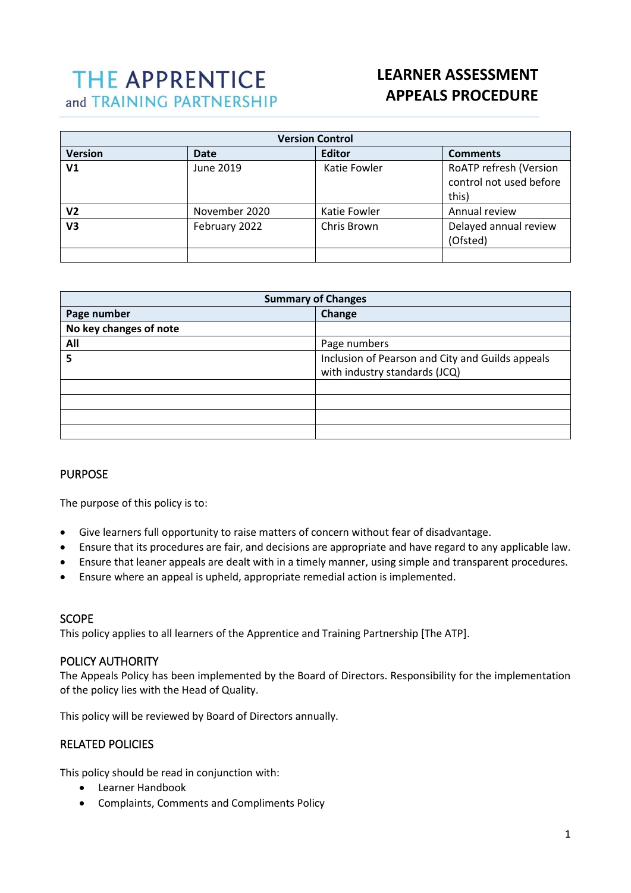# **THE APPRENTICE** and TRAINING PARTNERSHIP

# **LEARNER ASSESSMENT APPEALS PROCEDURE**

| <b>Version Control</b> |               |               |                                                            |
|------------------------|---------------|---------------|------------------------------------------------------------|
| <b>Version</b>         | <b>Date</b>   | <b>Editor</b> | <b>Comments</b>                                            |
| V <sub>1</sub>         | June 2019     | Katie Fowler  | RoATP refresh (Version<br>control not used before<br>this) |
| V2                     | November 2020 | Katie Fowler  | Annual review                                              |
| V3                     | February 2022 | Chris Brown   | Delayed annual review<br>(Ofsted)                          |
|                        |               |               |                                                            |

| <b>Summary of Changes</b> |                                                                                   |  |
|---------------------------|-----------------------------------------------------------------------------------|--|
| Page number               | Change                                                                            |  |
| No key changes of note    |                                                                                   |  |
| All                       | Page numbers                                                                      |  |
| 5                         | Inclusion of Pearson and City and Guilds appeals<br>with industry standards (JCQ) |  |
|                           |                                                                                   |  |
|                           |                                                                                   |  |
|                           |                                                                                   |  |
|                           |                                                                                   |  |

# PURPOSE

 $\overline{a}$ 

The purpose of this policy is to:

- Give learners full opportunity to raise matters of concern without fear of disadvantage.
- Ensure that its procedures are fair, and decisions are appropriate and have regard to any applicable law.
- Ensure that leaner appeals are dealt with in a timely manner, using simple and transparent procedures.
- Ensure where an appeal is upheld, appropriate remedial action is implemented.

#### SCOPE

This policy applies to all learners of the Apprentice and Training Partnership [The ATP].

# POLICY AUTHORITY

The Appeals Policy has been implemented by the Board of Directors. Responsibility for the implementation of the policy lies with the Head of Quality.

This policy will be reviewed by Board of Directors annually.

# RELATED POLICIES

This policy should be read in conjunction with:

- Learner Handbook
- Complaints, Comments and Compliments Policy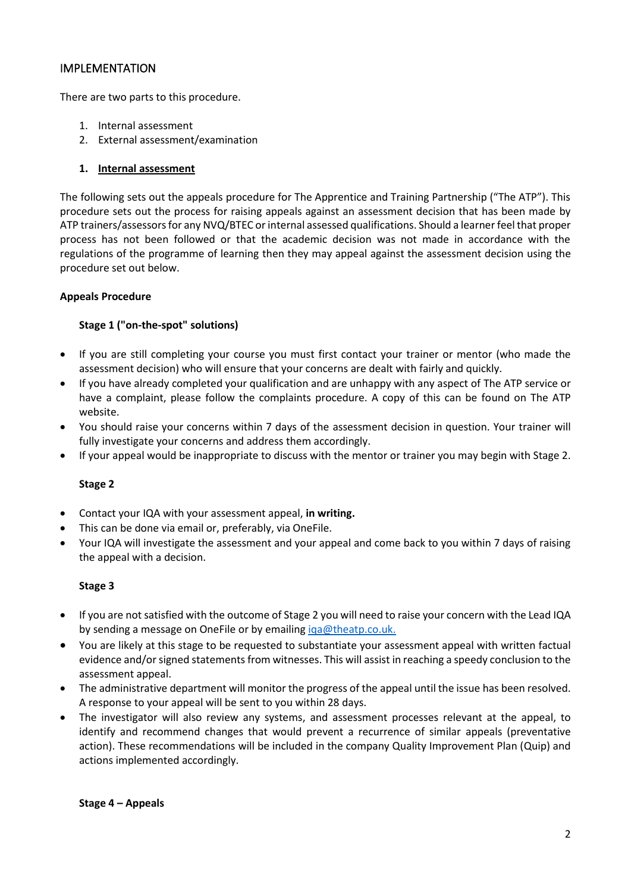# IMPLEMENTATION

There are two parts to this procedure.

- 1. Internal assessment
- 2. External assessment/examination

# **1. Internal assessment**

The following sets out the appeals procedure for The Apprentice and Training Partnership ("The ATP"). This procedure sets out the process for raising appeals against an assessment decision that has been made by ATP trainers/assessors for any NVQ/BTEC or internal assessed qualifications. Should a learner feel that proper process has not been followed or that the academic decision was not made in accordance with the regulations of the programme of learning then they may appeal against the assessment decision using the procedure set out below.

# **Appeals Procedure**

# **Stage 1 ("on-the-spot" solutions)**

- If you are still completing your course you must first contact your trainer or mentor (who made the assessment decision) who will ensure that your concerns are dealt with fairly and quickly.
- If you have already completed your qualification and are unhappy with any aspect of The ATP service or have a complaint, please follow the complaints procedure. A copy of this can be found on The ATP website.
- You should raise your concerns within 7 days of the assessment decision in question. Your trainer will fully investigate your concerns and address them accordingly.
- If your appeal would be inappropriate to discuss with the mentor or trainer you may begin with Stage 2.

# **Stage 2**

- Contact your IQA with your assessment appeal, **in writing.**
- This can be done via email or, preferably, via OneFile.
- Your IQA will investigate the assessment and your appeal and come back to you within 7 days of raising the appeal with a decision.

#### **Stage 3**

- If you are not satisfied with the outcome of Stage 2 you will need to raise your concern with the Lead IQA by sending a message on OneFile or by emailing iga@theatp.co.uk.
- You are likely at this stage to be requested to substantiate your assessment appeal with written factual evidence and/or signed statements from witnesses. This will assist in reaching a speedy conclusion to the assessment appeal.
- The administrative department will monitor the progress of the appeal until the issue has been resolved. A response to your appeal will be sent to you within 28 days.
- The investigator will also review any systems, and assessment processes relevant at the appeal, to identify and recommend changes that would prevent a recurrence of similar appeals (preventative action). These recommendations will be included in the company Quality Improvement Plan (Quip) and actions implemented accordingly.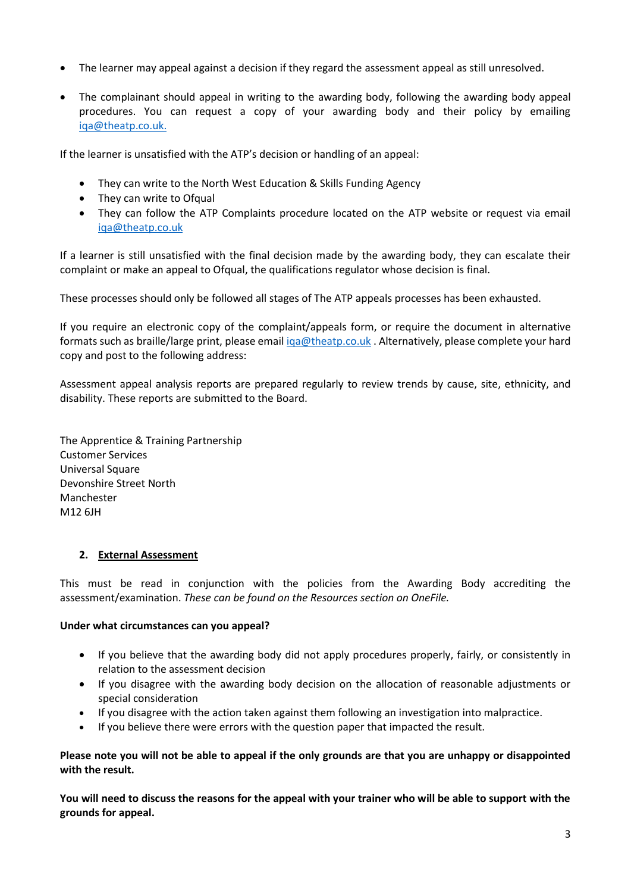- The learner may appeal against a decision if they regard the assessment appeal as still unresolved.
- The complainant should appeal in writing to the awarding body, following the awarding body appeal procedures. You can request a copy of your awarding body and their policy by emailing iqa@theatp.co.uk.

If the learner is unsatisfied with the ATP's decision or handling of an appeal:

- They can write to the North West Education & Skills Funding Agency
- They can write to Ofqual
- They can follow the ATP Complaints procedure located on the ATP website or request via email iqa@theatp.co.uk

If a learner is still unsatisfied with the final decision made by the awarding body, they can escalate their complaint or make an appeal to Ofqual, the qualifications regulator whose decision is final.

These processes should only be followed all stages of The ATP appeals processes has been exhausted.

If you require an electronic copy of the complaint/appeals form, or require the document in alternative formats such as braille/large print, please emai[l iqa@theatp.co.uk](mailto:iqa@theatp.co.uk). Alternatively, please complete your hard copy and post to the following address:

Assessment appeal analysis reports are prepared regularly to review trends by cause, site, ethnicity, and disability. These reports are submitted to the Board.

The Apprentice & Training Partnership Customer Services Universal Square Devonshire Street North Manchester M12 6JH

# **2. External Assessment**

This must be read in conjunction with the policies from the Awarding Body accrediting the assessment/examination. *These can be found on the Resources section on OneFile.*

#### **Under what circumstances can you appeal?**

- If you believe that the awarding body did not apply procedures properly, fairly, or consistently in relation to the assessment decision
- If you disagree with the awarding body decision on the allocation of reasonable adjustments or special consideration
- If you disagree with the action taken against them following an investigation into malpractice.
- If you believe there were errors with the question paper that impacted the result.

**Please note you will not be able to appeal if the only grounds are that you are unhappy or disappointed with the result.** 

**You will need to discuss the reasons for the appeal with your trainer who will be able to support with the grounds for appeal.**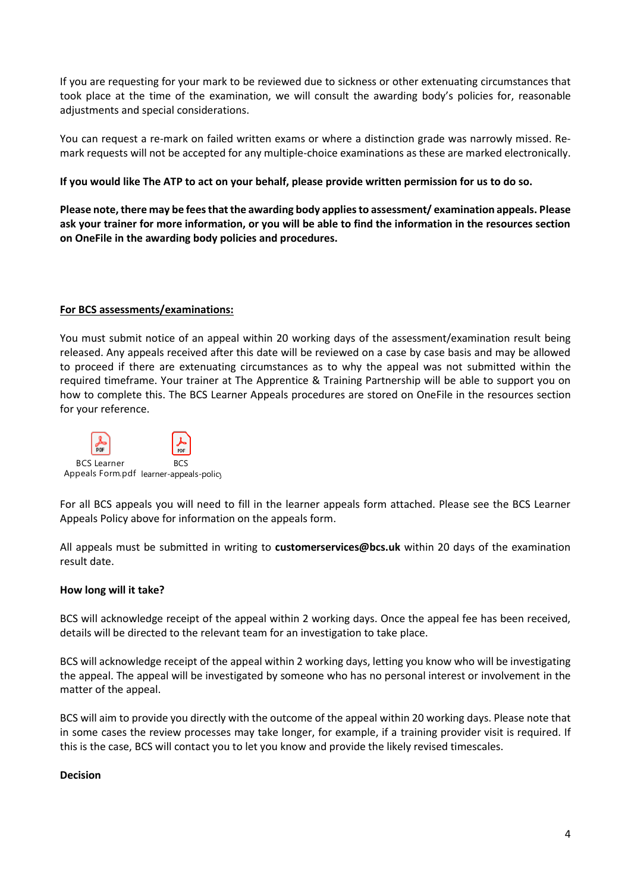If you are requesting for your mark to be reviewed due to sickness or other extenuating circumstances that took place at the time of the examination, we will consult the awarding body's policies for, reasonable adjustments and special considerations.

You can request a re-mark on failed written exams or where a distinction grade was narrowly missed. Remark requests will not be accepted for any multiple-choice examinations as these are marked electronically.

# **If you would like The ATP to act on your behalf, please provide written permission for us to do so.**

**Please note, there may be fees that the awarding body applies to assessment/ examination appeals. Please ask your trainer for more information, or you will be able to find the information in the resources section on OneFile in the awarding body policies and procedures.** 

# **For BCS assessments/examinations:**

You must submit notice of an appeal within 20 working days of the assessment/examination result being released. Any appeals received after this date will be reviewed on a case by case basis and may be allowed to proceed if there are extenuating circumstances as to why the appeal was not submitted within the required timeframe. Your trainer at The Apprentice & Training Partnership will be able to support you on how to complete this. The BCS Learner Appeals procedures are stored on OneFile in the resources section for your reference.



For all BCS appeals you will need to fill in the learner appeals form attached. Please see the BCS Learner Appeals Policy above for information on the appeals form.

All appeals must be submitted in writing to **customerservices@bcs.uk** within 20 days of the examination result date.

#### **How long will it take?**

BCS will acknowledge receipt of the appeal within 2 working days. Once the appeal fee has been received, details will be directed to the relevant team for an investigation to take place.

BCS will acknowledge receipt of the appeal within 2 working days, letting you know who will be investigating the appeal. The appeal will be investigated by someone who has no personal interest or involvement in the matter of the appeal.

BCS will aim to provide you directly with the outcome of the appeal within 20 working days. Please note that in some cases the review processes may take longer, for example, if a training provider visit is required. If this is the case, BCS will contact you to let you know and provide the likely revised timescales.

#### **Decision**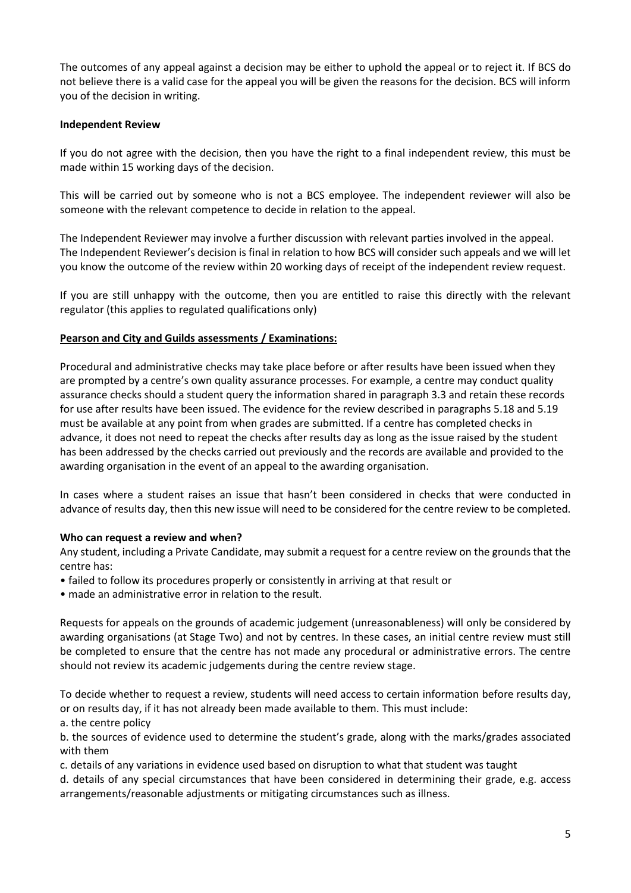The outcomes of any appeal against a decision may be either to uphold the appeal or to reject it. If BCS do not believe there is a valid case for the appeal you will be given the reasons for the decision. BCS will inform you of the decision in writing.

# **Independent Review**

If you do not agree with the decision, then you have the right to a final independent review, this must be made within 15 working days of the decision.

This will be carried out by someone who is not a BCS employee. The independent reviewer will also be someone with the relevant competence to decide in relation to the appeal.

The Independent Reviewer may involve a further discussion with relevant parties involved in the appeal. The Independent Reviewer's decision is final in relation to how BCS will consider such appeals and we will let you know the outcome of the review within 20 working days of receipt of the independent review request.

If you are still unhappy with the outcome, then you are entitled to raise this directly with the relevant regulator (this applies to regulated qualifications only)

# **Pearson and City and Guilds assessments / Examinations:**

Procedural and administrative checks may take place before or after results have been issued when they are prompted by a centre's own quality assurance processes. For example, a centre may conduct quality assurance checks should a student query the information shared in paragraph 3.3 and retain these records for use after results have been issued. The evidence for the review described in paragraphs 5.18 and 5.19 must be available at any point from when grades are submitted. If a centre has completed checks in advance, it does not need to repeat the checks after results day as long as the issue raised by the student has been addressed by the checks carried out previously and the records are available and provided to the awarding organisation in the event of an appeal to the awarding organisation.

In cases where a student raises an issue that hasn't been considered in checks that were conducted in advance of results day, then this new issue will need to be considered for the centre review to be completed.

#### **Who can request a review and when?**

Any student, including a Private Candidate, may submit a request for a centre review on the grounds that the centre has:

- failed to follow its procedures properly or consistently in arriving at that result or
- made an administrative error in relation to the result.

Requests for appeals on the grounds of academic judgement (unreasonableness) will only be considered by awarding organisations (at Stage Two) and not by centres. In these cases, an initial centre review must still be completed to ensure that the centre has not made any procedural or administrative errors. The centre should not review its academic judgements during the centre review stage.

To decide whether to request a review, students will need access to certain information before results day, or on results day, if it has not already been made available to them. This must include:

a. the centre policy

b. the sources of evidence used to determine the student's grade, along with the marks/grades associated with them

c. details of any variations in evidence used based on disruption to what that student was taught

d. details of any special circumstances that have been considered in determining their grade, e.g. access arrangements/reasonable adjustments or mitigating circumstances such as illness.